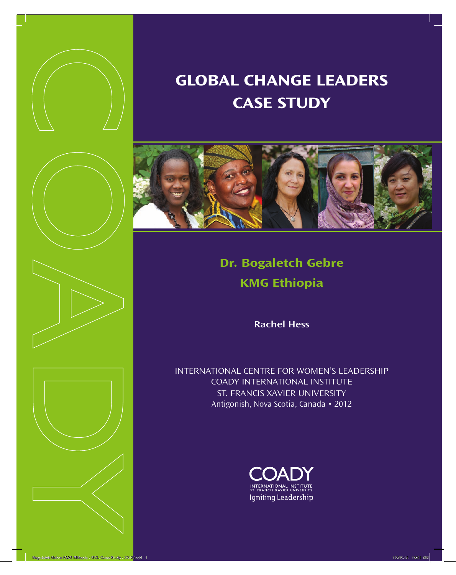



# **Global ChanGe leaders Case study**



## **dr. bogaletch Gebre KMG ethiopia**

**Rachel Hess**

InternatIonal centre for women's leadershIp coady InternatIonal InstItute st. francIs XavIer unIversIty Antigonish, Nova Scotia, Canada • 2012

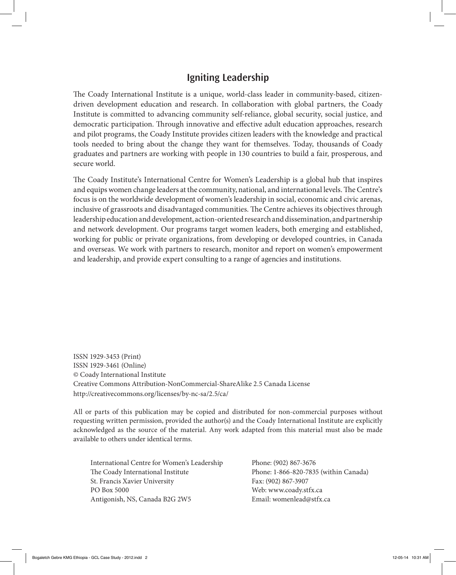### **Igniting Leadership**

The Coady International Institute is a unique, world-class leader in community-based, citizendriven development education and research. In collaboration with global partners, the Coady Institute is committed to advancing community self-reliance, global security, social justice, and democratic participation. Through innovative and effective adult education approaches, research and pilot programs, the Coady Institute provides citizen leaders with the knowledge and practical tools needed to bring about the change they want for themselves. Today, thousands of Coady graduates and partners are working with people in 130 countries to build a fair, prosperous, and secure world.

The Coady Institute's International Centre for Women's Leadership is a global hub that inspires and equips women change leaders at the community, national, and international levels. The Centre's focus is on the worldwide development of women's leadership in social, economic and civic arenas, inclusive of grassroots and disadvantaged communities. The Centre achieves its objectives through leadership education and development, action-oriented research and dissemination, and partnership and network development. Our programs target women leaders, both emerging and established, working for public or private organizations, from developing or developed countries, in Canada and overseas. We work with partners to research, monitor and report on women's empowerment and leadership, and provide expert consulting to a range of agencies and institutions.

ISSN 1929-3453 (Print) ISSN 1929-3461 (Online) © Coady International Institute Creative Commons Attribution-NonCommercial-ShareAlike 2.5 Canada License http://creativecommons.org/licenses/by-nc-sa/2.5/ca/

All or parts of this publication may be copied and distributed for non-commercial purposes without requesting written permission, provided the author(s) and the Coady International Institute are explicitly acknowledged as the source of the material. Any work adapted from this material must also be made available to others under identical terms.

International Centre for Women's Leadership Phone: (902) 867-3676 The Coady International Institute Phone: 1-866-820-7835 (within Canada) St. Francis Xavier University Fax: (902) 867-3907 PO Box 5000 Web: www.coady.stfx.ca Antigonish, NS, Canada B2G 2W5 Email: womenlead@stfx.ca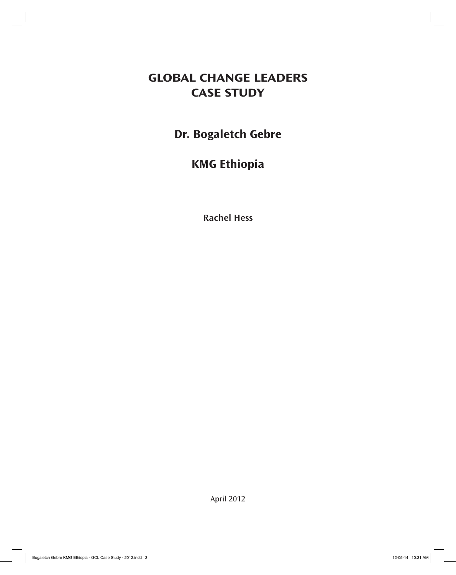### **Global ChanGe leaders Case study**

## **Dr. Bogaletch Gebre**

## **KMG Ethiopia**

**Rachel Hess**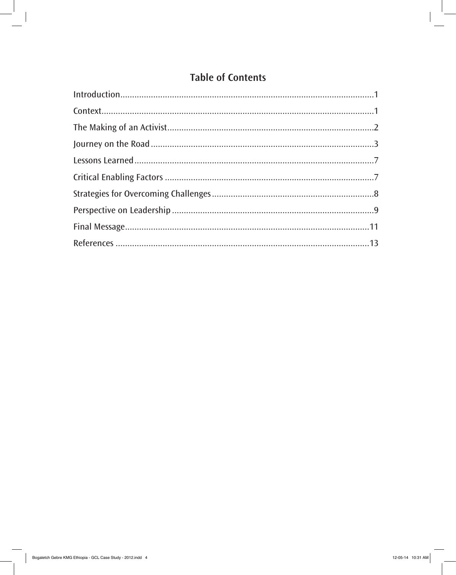### **Table of Contents**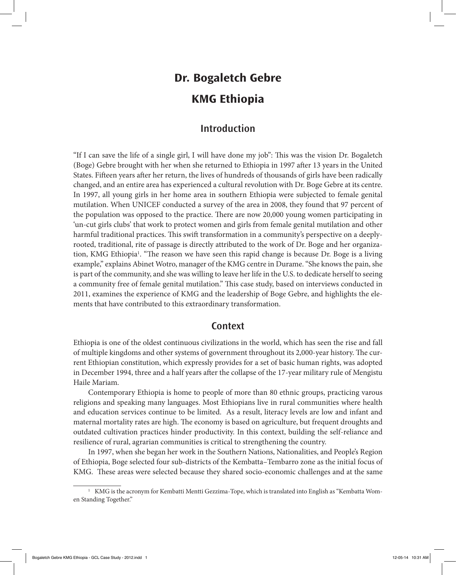## **Dr. Bogaletch Gebre KMG Ethiopia**

#### **Introduction**

"If I can save the life of a single girl, I will have done my job": This was the vision Dr. Bogaletch (Boge) Gebre brought with her when she returned to Ethiopia in 1997 after 13 years in the United States. Fifteen years after her return, the lives of hundreds of thousands of girls have been radically changed, and an entire area has experienced a cultural revolution with Dr. Boge Gebre at its centre. In 1997, all young girls in her home area in southern Ethiopia were subjected to female genital mutilation. When UNICEF conducted a survey of the area in 2008, they found that 97 percent of the population was opposed to the practice. There are now 20,000 young women participating in 'un-cut girls clubs' that work to protect women and girls from female genital mutilation and other harmful traditional practices. This swift transformation in a community's perspective on a deeplyrooted, traditional, rite of passage is directly attributed to the work of Dr. Boge and her organization, KMG Ethiopia<sup>1</sup>. "The reason we have seen this rapid change is because Dr. Boge is a living example," explains Abinet Wotro, manager of the KMG centre in Durame. "She knows the pain, she is part of the community, and she was willing to leave her life in the U.S. to dedicate herself to seeing a community free of female genital mutilation." This case study, based on interviews conducted in 2011, examines the experience of KMG and the leadership of Boge Gebre, and highlights the elements that have contributed to this extraordinary transformation.

#### **Context**

Ethiopia is one of the oldest continuous civilizations in the world, which has seen the rise and fall of multiple kingdoms and other systems of government throughout its 2,000-year history. The current Ethiopian constitution, which expressly provides for a set of basic human rights, was adopted in December 1994, three and a half years after the collapse of the 17-year military rule of Mengistu Haile Mariam.

Contemporary Ethiopia is home to people of more than 80 ethnic groups, practicing varous religions and speaking many languages. Most Ethiopians live in rural communities where health and education services continue to be limited. As a result, literacy levels are low and infant and maternal mortality rates are high. The economy is based on agriculture, but frequent droughts and outdated cultivation practices hinder productivity. In this context, building the self-reliance and resilience of rural, agrarian communities is critical to strengthening the country.

In 1997, when she began her work in the Southern Nations, Nationalities, and People's Region of Ethiopia, Boge selected four sub-districts of the Kembatta–Tembarro zone as the initial focus of KMG. These areas were selected because they shared socio-economic challenges and at the same

 $1$  KMG is the acronym for Kembatti Mentti Gezzima-Tope, which is translated into English as "Kembatta Women Standing Together."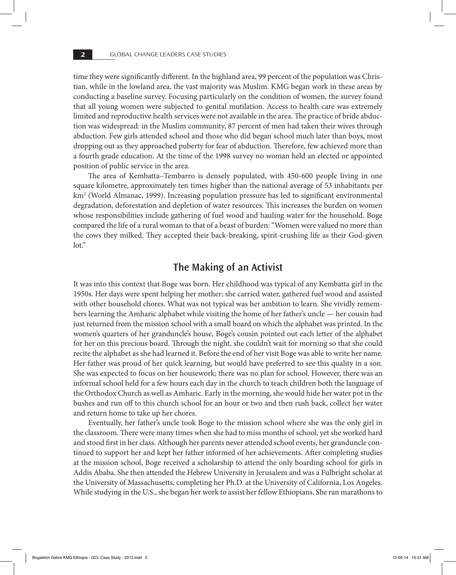time they were significantly different. In the highland area, 99 percent of the population was Christian, while in the lowland area, the vast majority was Muslim. KMG began work in these areas by conducting a baseline survey. Focusing particularly on the condition of women, the survey found that all young women were subjected to genital mutilation. Access to health care was extremely limited and reproductive health services were not available in the area. The practice of bride abduction was widespread: in the Muslim community, 87 percent of men had taken their wives through abduction. Few girls attended school and those who did began school much later than boys, most dropping out as they approached puberty for fear of abduction. Therefore, few achieved more than a fourth grade education. At the time of the 1998 survey no woman held an elected or appointed position of public service in the area.

The area of Kembatta–Tembarro is densely populated, with 450-600 people living in one square kilometre, approximately ten times higher than the national average of 53 inhabitants per km2 (World Almanac, 1999). Increasing population pressure has led to significant environmental degradation, deforestation and depletion of water resources. This increases the burden on women whose responsibilities include gathering of fuel wood and hauling water for the household. Boge compared the life of a rural woman to that of a beast of burden: "Women were valued no more than the cows they milked. They accepted their back-breaking, spirit-crushing life as their God-given lot."

#### **The Making of an Activist**

It was into this context that Boge was born. Her childhood was typical of any Kembatta girl in the 1950s. Her days were spent helping her mother; she carried water, gathered fuel wood and assisted with other household chores. What was not typical was her ambition to learn. She vividly remembers learning the Amharic alphabet while visiting the home of her father's uncle — her cousin had just returned from the mission school with a small board on which the alphabet was printed. In the women's quarters of her granduncle's house, Boge's cousin pointed out each letter of the alphabet for her on this precious board. Through the night, she couldn't wait for morning so that she could recite the alphabet as she had learned it. Before the end of her visit Boge was able to write her name. Her father was proud of her quick learning, but would have preferred to see this quality in a son. She was expected to focus on her housework; there was no plan for school. However, there was an informal school held for a few hours each day in the church to teach children both the language of the Orthodox Church as well as Amharic. Early in the morning, she would hide her water pot in the bushes and run off to this church school for an hour or two and then rush back, collect her water and return home to take up her chores.

Eventually, her father's uncle took Boge to the mission school where she was the only girl in the classroom. There were many times when she had to miss months of school, yet she worked hard and stood first in her class. Although her parents never attended school events, her granduncle continued to support her and kept her father informed of her achievements. After completing studies at the mission school, Boge received a scholarship to attend the only boarding school for girls in Addis Ababa. She then attended the Hebrew University in Jerusalem and was a Fulbright scholar at the University of Massachusetts, completing her Ph.D. at the University of California, Los Angeles. While studying in the U.S., she began her work to assist her fellow Ethiopians. She ran marathons to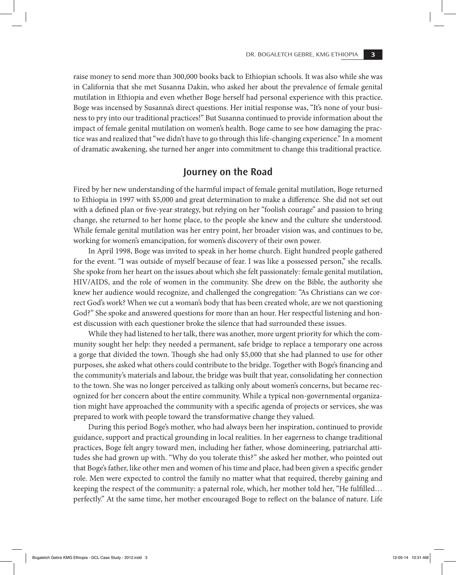raise money to send more than 300,000 books back to Ethiopian schools. It was also while she was in California that she met Susanna Dakin, who asked her about the prevalence of female genital mutilation in Ethiopia and even whether Boge herself had personal experience with this practice. Boge was incensed by Susanna's direct questions. Her initial response was, "It's none of your business to pry into our traditional practices!" But Susanna continued to provide information about the impact of female genital mutilation on women's health. Boge came to see how damaging the practice was and realized that "we didn't have to go through this life-changing experience." In a moment of dramatic awakening, she turned her anger into commitment to change this traditional practice.

#### **Journey on the Road**

Fired by her new understanding of the harmful impact of female genital mutilation, Boge returned to Ethiopia in 1997 with \$5,000 and great determination to make a difference. She did not set out with a defined plan or five-year strategy, but relying on her "foolish courage" and passion to bring change, she returned to her home place, to the people she knew and the culture she understood. While female genital mutilation was her entry point, her broader vision was, and continues to be, working for women's emancipation, for women's discovery of their own power.

In April 1998, Boge was invited to speak in her home church. Eight hundred people gathered for the event. "I was outside of myself because of fear. I was like a possessed person," she recalls. She spoke from her heart on the issues about which she felt passionately: female genital mutilation, HIV/AIDS, and the role of women in the community. She drew on the Bible, the authority she knew her audience would recognize, and challenged the congregation: "As Christians can we correct God's work? When we cut a woman's body that has been created whole, are we not questioning God?" She spoke and answered questions for more than an hour. Her respectful listening and honest discussion with each questioner broke the silence that had surrounded these issues.

While they had listened to her talk, there was another, more urgent priority for which the community sought her help: they needed a permanent, safe bridge to replace a temporary one across a gorge that divided the town. Though she had only \$5,000 that she had planned to use for other purposes, she asked what others could contribute to the bridge. Together with Boge's financing and the community's materials and labour, the bridge was built that year, consolidating her connection to the town. She was no longer perceived as talking only about women's concerns, but became recognized for her concern about the entire community. While a typical non-governmental organization might have approached the community with a specific agenda of projects or services, she was prepared to work with people toward the transformative change they valued.

During this period Boge's mother, who had always been her inspiration, continued to provide guidance, support and practical grounding in local realities. In her eagerness to change traditional practices, Boge felt angry toward men, including her father, whose domineering, patriarchal attitudes she had grown up with. "Why do you tolerate this?" she asked her mother, who pointed out that Boge's father, like other men and women of his time and place, had been given a specific gender role. Men were expected to control the family no matter what that required, thereby gaining and keeping the respect of the community: a paternal role, which, her mother told her, "He fulfilled… perfectly." At the same time, her mother encouraged Boge to reflect on the balance of nature. Life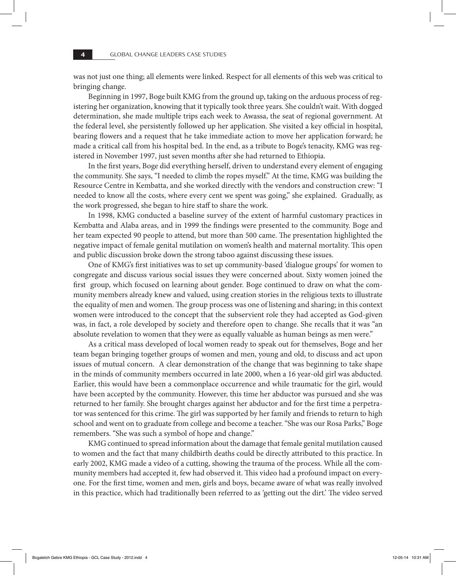was not just one thing; all elements were linked. Respect for all elements of this web was critical to bringing change.

Beginning in 1997, Boge built KMG from the ground up, taking on the arduous process of registering her organization, knowing that it typically took three years. She couldn't wait. With dogged determination, she made multiple trips each week to Awassa, the seat of regional government. At the federal level, she persistently followed up her application. She visited a key official in hospital, bearing flowers and a request that he take immediate action to move her application forward; he made a critical call from his hospital bed. In the end, as a tribute to Boge's tenacity, KMG was registered in November 1997, just seven months after she had returned to Ethiopia.

In the first years, Boge did everything herself, driven to understand every element of engaging the community. She says, "I needed to climb the ropes myself." At the time, KMG was building the Resource Centre in Kembatta, and she worked directly with the vendors and construction crew: "I needed to know all the costs, where every cent we spent was going," she explained. Gradually, as the work progressed, she began to hire staff to share the work.

In 1998, KMG conducted a baseline survey of the extent of harmful customary practices in Kembatta and Alaba areas, and in 1999 the findings were presented to the community. Boge and her team expected 90 people to attend, but more than 500 came. The presentation highlighted the negative impact of female genital mutilation on women's health and maternal mortality. This open and public discussion broke down the strong taboo against discussing these issues.

One of KMG's first initiatives was to set up community-based 'dialogue groups' for women to congregate and discuss various social issues they were concerned about. Sixty women joined the first group, which focused on learning about gender. Boge continued to draw on what the community members already knew and valued, using creation stories in the religious texts to illustrate the equality of men and women. The group process was one of listening and sharing; in this context women were introduced to the concept that the subservient role they had accepted as God-given was, in fact, a role developed by society and therefore open to change. She recalls that it was "an absolute revelation to women that they were as equally valuable as human beings as men were."

As a critical mass developed of local women ready to speak out for themselves, Boge and her team began bringing together groups of women and men, young and old, to discuss and act upon issues of mutual concern. A clear demonstration of the change that was beginning to take shape in the minds of community members occurred in late 2000, when a 16 year-old girl was abducted. Earlier, this would have been a commonplace occurrence and while traumatic for the girl, would have been accepted by the community. However, this time her abductor was pursued and she was returned to her family. She brought charges against her abductor and for the first time a perpetrator was sentenced for this crime. The girl was supported by her family and friends to return to high school and went on to graduate from college and become a teacher. "She was our Rosa Parks," Boge remembers. "She was such a symbol of hope and change."

KMG continued to spread information about the damage that female genital mutilation caused to women and the fact that many childbirth deaths could be directly attributed to this practice. In early 2002, KMG made a video of a cutting, showing the trauma of the process. While all the community members had accepted it, few had observed it. This video had a profound impact on everyone. For the first time, women and men, girls and boys, became aware of what was really involved in this practice, which had traditionally been referred to as 'getting out the dirt.' The video served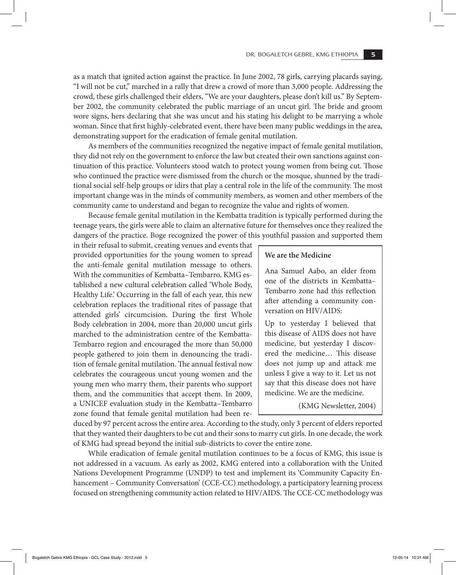as a match that ignited action against the practice. In June 2002, 78 girls, carrying placards saying, "I will not be cut," marched in a rally that drew a crowd of more than 3,000 people. Addressing the crowd, these girls challenged their elders, "We are your daughters, please don't kill us." By September 2002, the community celebrated the public marriage of an uncut girl. The bride and groom wore signs, hers declaring that she was uncut and his stating his delight to be marrying a whole woman. Since that first highly-celebrated event, there have been many public weddings in the area, demonstrating support for the eradication of female genital mutilation.

As members of the communities recognized the negative impact of female genital mutilation, they did not rely on the government to enforce the law but created their own sanctions against continuation of this practice. Volunteers stood watch to protect young women from being cut. Those who continued the practice were dismissed from the church or the mosque, shunned by the traditional social self-help groups or idirs that play a central role in the life of the community. The most important change was in the minds of community members, as women and other members of the community came to understand and began to recognize the value and rights of women.

Because female genital mutilation in the Kembatta tradition is typically performed during the teenage years, the girls were able to claim an alternative future for themselves once they realized the dangers of the practice. Boge recognized the power of this youthful passion and supported them

in their refusal to submit, creating venues and events that provided opportunities for the young women to spread the anti-female genital mutilation message to others. With the communities of Kembatta–Tembarro, KMG established a new cultural celebration called 'Whole Body, Healthy Life.' Occurring in the fall of each year, this new celebration replaces the traditional rites of passage that attended girls' circumcision. During the first Whole Body celebration in 2004, more than 20,000 uncut girls marched to the administration centre of the Kembatta-Tembarro region and encouraged the more than 50,000 people gathered to join them in denouncing the tradition of female genital mutilation. The annual festival now celebrates the courageous uncut young women and the young men who marry them, their parents who support them, and the communities that accept them. In 2009, a UNICEF evaluation study in the Kembatta–Tembarro zone found that female genital mutilation had been re-

#### **We are the Medicine**

Ana Samuel Aabo, an elder from one of the districts in Kembatta– Tembarro zone had this reflection after attending a community conversation on HIV/AIDS:

Up to yesterday I believed that this disease of AIDS does not have medicine, but yesterday I discovered the medicine… This disease does not jump up and attack me unless I give a way to it. Let us not say that this disease does not have medicine. We are the medicine.

(KMG Newsletter, 2004)

duced by 97 percent across the entire area. According to the study, only 3 percent of elders reported that they wanted their daughters to be cut and their sons to marry cut girls. In one decade, the work of KMG had spread beyond the initial sub-districts to cover the entire zone.

While eradication of female genital mutilation continues to be a focus of KMG, this issue is not addressed in a vacuum. As early as 2002, KMG entered into a collaboration with the United Nations Development Programme (UNDP) to test and implement its 'Community Capacity Enhancement – Community Conversation' (CCE-CC) methodology, a participatory learning process focused on strengthening community action related to HIV/AIDS. The CCE-CC methodology was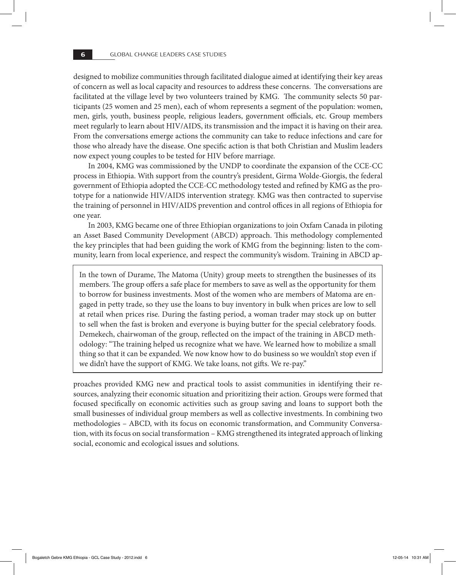designed to mobilize communities through facilitated dialogue aimed at identifying their key areas of concern as well as local capacity and resources to address these concerns. The conversations are facilitated at the village level by two volunteers trained by KMG. The community selects 50 participants (25 women and 25 men), each of whom represents a segment of the population: women, men, girls, youth, business people, religious leaders, government officials, etc. Group members meet regularly to learn about HIV/AIDS, its transmission and the impact it is having on their area. From the conversations emerge actions the community can take to reduce infections and care for those who already have the disease. One specific action is that both Christian and Muslim leaders now expect young couples to be tested for HIV before marriage.

In 2004, KMG was commissioned by the UNDP to coordinate the expansion of the CCE-CC process in Ethiopia. With support from the country's president, Girma Wolde-Giorgis, the federal government of Ethiopia adopted the CCE-CC methodology tested and refined by KMG as the prototype for a nationwide HIV/AIDS intervention strategy. KMG was then contracted to supervise the training of personnel in HIV/AIDS prevention and control offices in all regions of Ethiopia for one year.

In 2003, KMG became one of three Ethiopian organizations to join Oxfam Canada in piloting an Asset Based Community Development (ABCD) approach. This methodology complemented the key principles that had been guiding the work of KMG from the beginning: listen to the community, learn from local experience, and respect the community's wisdom. Training in ABCD ap-

In the town of Durame, The Matoma (Unity) group meets to strengthen the businesses of its members. The group offers a safe place for members to save as well as the opportunity for them to borrow for business investments. Most of the women who are members of Matoma are engaged in petty trade, so they use the loans to buy inventory in bulk when prices are low to sell at retail when prices rise. During the fasting period, a woman trader may stock up on butter to sell when the fast is broken and everyone is buying butter for the special celebratory foods. Demekech, chairwoman of the group, reflected on the impact of the training in ABCD methodology: "The training helped us recognize what we have. We learned how to mobilize a small thing so that it can be expanded. We now know how to do business so we wouldn't stop even if we didn't have the support of KMG. We take loans, not gifts. We re-pay."

proaches provided KMG new and practical tools to assist communities in identifying their resources, analyzing their economic situation and prioritizing their action. Groups were formed that focused specifically on economic activities such as group saving and loans to support both the small businesses of individual group members as well as collective investments. In combining two methodologies – ABCD, with its focus on economic transformation, and Community Conversation, with its focus on social transformation – KMG strengthened its integrated approach of linking social, economic and ecological issues and solutions.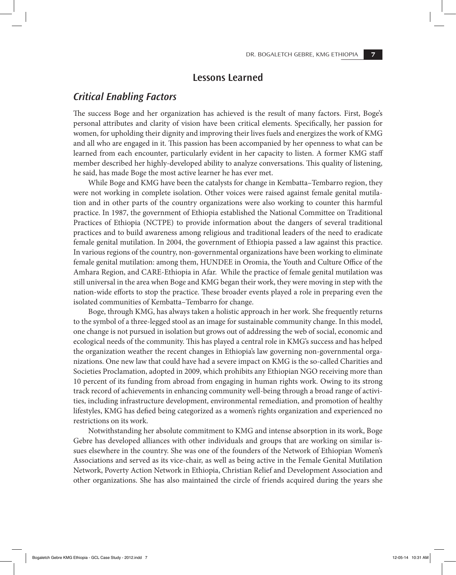#### **Lessons Learned**

#### *Critical Enabling Factors*

The success Boge and her organization has achieved is the result of many factors. First, Boge's personal attributes and clarity of vision have been critical elements. Specifically, her passion for women, for upholding their dignity and improving their lives fuels and energizes the work of KMG and all who are engaged in it. This passion has been accompanied by her openness to what can be learned from each encounter, particularly evident in her capacity to listen. A former KMG staff member described her highly-developed ability to analyze conversations. This quality of listening, he said, has made Boge the most active learner he has ever met.

While Boge and KMG have been the catalysts for change in Kembatta–Tembarro region, they were not working in complete isolation. Other voices were raised against female genital mutilation and in other parts of the country organizations were also working to counter this harmful practice. In 1987, the government of Ethiopia established the National Committee on Traditional Practices of Ethiopia (NCTPE) to provide information about the dangers of several traditional practices and to build awareness among religious and traditional leaders of the need to eradicate female genital mutilation. In 2004, the government of Ethiopia passed a law against this practice. In various regions of the country, non-governmental organizations have been working to eliminate female genital mutilation: among them, HUNDEE in Oromia, the Youth and Culture Office of the Amhara Region, and CARE-Ethiopia in Afar. While the practice of female genital mutilation was still universal in the area when Boge and KMG began their work, they were moving in step with the nation-wide efforts to stop the practice. These broader events played a role in preparing even the isolated communities of Kembatta–Tembarro for change.

Boge, through KMG, has always taken a holistic approach in her work. She frequently returns to the symbol of a three-legged stool as an image for sustainable community change. In this model, one change is not pursued in isolation but grows out of addressing the web of social, economic and ecological needs of the community. This has played a central role in KMG's success and has helped the organization weather the recent changes in Ethiopia's law governing non-governmental organizations. One new law that could have had a severe impact on KMG is the so-called Charities and Societies Proclamation, adopted in 2009, which prohibits any Ethiopian NGO receiving more than 10 percent of its funding from abroad from engaging in human rights work. Owing to its strong track record of achievements in enhancing community well-being through a broad range of activities, including infrastructure development, environmental remediation, and promotion of healthy lifestyles, KMG has defied being categorized as a women's rights organization and experienced no restrictions on its work.

Notwithstanding her absolute commitment to KMG and intense absorption in its work, Boge Gebre has developed alliances with other individuals and groups that are working on similar issues elsewhere in the country. She was one of the founders of the Network of Ethiopian Women's Associations and served as its vice-chair, as well as being active in the Female Genital Mutilation Network, Poverty Action Network in Ethiopia, Christian Relief and Development Association and other organizations. She has also maintained the circle of friends acquired during the years she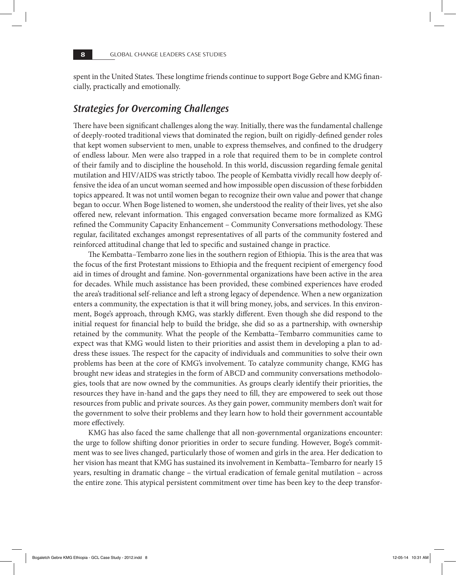spent in the United States. These longtime friends continue to support Boge Gebre and KMG financially, practically and emotionally.

#### *Strategies for Overcoming Challenges*

There have been significant challenges along the way. Initially, there was the fundamental challenge of deeply-rooted traditional views that dominated the region, built on rigidly-defined gender roles that kept women subservient to men, unable to express themselves, and confined to the drudgery of endless labour. Men were also trapped in a role that required them to be in complete control of their family and to discipline the household. In this world, discussion regarding female genital mutilation and HIV/AIDS was strictly taboo. The people of Kembatta vividly recall how deeply offensive the idea of an uncut woman seemed and how impossible open discussion of these forbidden topics appeared. It was not until women began to recognize their own value and power that change began to occur. When Boge listened to women, she understood the reality of their lives, yet she also offered new, relevant information. This engaged conversation became more formalized as KMG refined the Community Capacity Enhancement – Community Conversations methodology. These regular, facilitated exchanges amongst representatives of all parts of the community fostered and reinforced attitudinal change that led to specific and sustained change in practice.

The Kembatta–Tembarro zone lies in the southern region of Ethiopia. This is the area that was the focus of the first Protestant missions to Ethiopia and the frequent recipient of emergency food aid in times of drought and famine. Non-governmental organizations have been active in the area for decades. While much assistance has been provided, these combined experiences have eroded the area's traditional self-reliance and left a strong legacy of dependence. When a new organization enters a community, the expectation is that it will bring money, jobs, and services. In this environment, Boge's approach, through KMG, was starkly different. Even though she did respond to the initial request for financial help to build the bridge, she did so as a partnership, with ownership retained by the community. What the people of the Kembatta–Tembarro communities came to expect was that KMG would listen to their priorities and assist them in developing a plan to address these issues. The respect for the capacity of individuals and communities to solve their own problems has been at the core of KMG's involvement. To catalyze community change, KMG has brought new ideas and strategies in the form of ABCD and community conversations methodologies, tools that are now owned by the communities. As groups clearly identify their priorities, the resources they have in-hand and the gaps they need to fill, they are empowered to seek out those resources from public and private sources. As they gain power, community members don't wait for the government to solve their problems and they learn how to hold their government accountable more effectively.

KMG has also faced the same challenge that all non-governmental organizations encounter: the urge to follow shifting donor priorities in order to secure funding. However, Boge's commitment was to see lives changed, particularly those of women and girls in the area. Her dedication to her vision has meant that KMG has sustained its involvement in Kembatta–Tembarro for nearly 15 years, resulting in dramatic change – the virtual eradication of female genital mutilation – across the entire zone. This atypical persistent commitment over time has been key to the deep transfor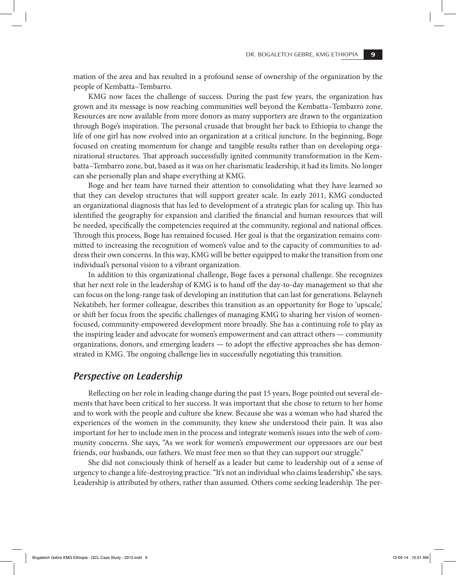mation of the area and has resulted in a profound sense of ownership of the organization by the people of Kembatta–Tembarro.

KMG now faces the challenge of success. During the past few years, the organization has grown and its message is now reaching communities well beyond the Kembatta–Tembarro zone. Resources are now available from more donors as many supporters are drawn to the organization through Boge's inspiration. The personal crusade that brought her back to Ethiopia to change the life of one girl has now evolved into an organization at a critical juncture. In the beginning, Boge focused on creating momentum for change and tangible results rather than on developing organizational structures. That approach successfully ignited community transformation in the Kembatta–Tembarro zone, but, based as it was on her charismatic leadership, it had its limits. No longer can she personally plan and shape everything at KMG.

Boge and her team have turned their attention to consolidating what they have learned so that they can develop structures that will support greater scale. In early 2011, KMG conducted an organizational diagnosis that has led to development of a strategic plan for scaling up. This has identified the geography for expansion and clarified the financial and human resources that will be needed, specifically the competencies required at the community, regional and national offices. Through this process, Boge has remained focused. Her goal is that the organization remains committed to increasing the recognition of women's value and to the capacity of communities to address their own concerns. In this way, KMG will be better equipped to make the transition from one individual's personal vision to a vibrant organization.

In addition to this organizational challenge, Boge faces a personal challenge. She recognizes that her next role in the leadership of KMG is to hand off the day-to-day management so that she can focus on the long-range task of developing an institution that can last for generations. Belayneh Nekatibeb, her former colleague, describes this transition as an opportunity for Boge to 'upscale,' or shift her focus from the specific challenges of managing KMG to sharing her vision of womenfocused, community-empowered development more broadly. She has a continuing role to play as the inspiring leader and advocate for women's empowerment and can attract others — community organizations, donors, and emerging leaders — to adopt the effective approaches she has demonstrated in KMG. The ongoing challenge lies in successfully negotiating this transition.

#### *Perspective on Leadership*

Reflecting on her role in leading change during the past 15 years, Boge pointed out several elements that have been critical to her success. It was important that she chose to return to her home and to work with the people and culture she knew. Because she was a woman who had shared the experiences of the women in the community, they knew she understood their pain. It was also important for her to include men in the process and integrate women's issues into the web of community concerns. She says, "As we work for women's empowerment our oppressors are our best friends, our husbands, our fathers. We must free men so that they can support our struggle."

She did not consciously think of herself as a leader but came to leadership out of a sense of urgency to change a life-destroying practice. "It's not an individual who claims leadership," she says. Leadership is attributed by others, rather than assumed. Others come seeking leadership. The per-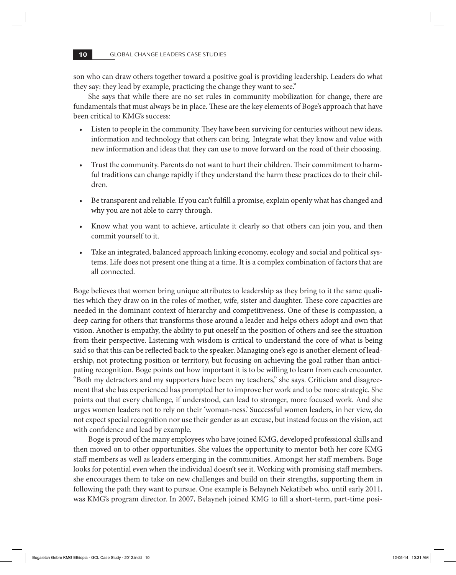son who can draw others together toward a positive goal is providing leadership. Leaders do what they say: they lead by example, practicing the change they want to see."

She says that while there are no set rules in community mobilization for change, there are fundamentals that must always be in place. These are the key elements of Boge's approach that have been critical to KMG's success:

- Listen to people in the community. They have been surviving for centuries without new ideas, information and technology that others can bring. Integrate what they know and value with new information and ideas that they can use to move forward on the road of their choosing.
- Trust the community. Parents do not want to hurt their children. Their commitment to harmful traditions can change rapidly if they understand the harm these practices do to their children.
- Be transparent and reliable. If you can't fulfill a promise, explain openly what has changed and why you are not able to carry through.
- Know what you want to achieve, articulate it clearly so that others can join you, and then commit yourself to it.
- Take an integrated, balanced approach linking economy, ecology and social and political systems. Life does not present one thing at a time. It is a complex combination of factors that are all connected.

Boge believes that women bring unique attributes to leadership as they bring to it the same qualities which they draw on in the roles of mother, wife, sister and daughter. These core capacities are needed in the dominant context of hierarchy and competitiveness. One of these is compassion, a deep caring for others that transforms those around a leader and helps others adopt and own that vision. Another is empathy, the ability to put oneself in the position of others and see the situation from their perspective. Listening with wisdom is critical to understand the core of what is being said so that this can be reflected back to the speaker. Managing one's ego is another element of leadership, not protecting position or territory, but focusing on achieving the goal rather than anticipating recognition. Boge points out how important it is to be willing to learn from each encounter. "Both my detractors and my supporters have been my teachers," she says. Criticism and disagreement that she has experienced has prompted her to improve her work and to be more strategic. She points out that every challenge, if understood, can lead to stronger, more focused work. And she urges women leaders not to rely on their 'woman-ness.' Successful women leaders, in her view, do not expect special recognition nor use their gender as an excuse, but instead focus on the vision, act with confidence and lead by example.

Boge is proud of the many employees who have joined KMG, developed professional skills and then moved on to other opportunities. She values the opportunity to mentor both her core KMG staff members as well as leaders emerging in the communities. Amongst her staff members, Boge looks for potential even when the individual doesn't see it. Working with promising staff members, she encourages them to take on new challenges and build on their strengths, supporting them in following the path they want to pursue. One example is Belayneh Nekatibeb who, until early 2011, was KMG's program director. In 2007, Belayneh joined KMG to fill a short-term, part-time posi-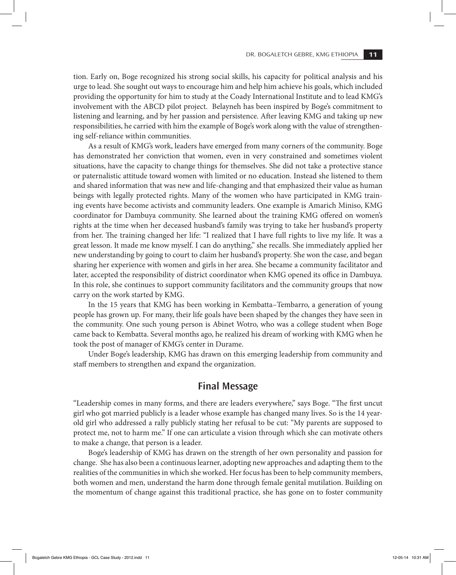tion. Early on, Boge recognized his strong social skills, his capacity for political analysis and his urge to lead. She sought out ways to encourage him and help him achieve his goals, which included providing the opportunity for him to study at the Coady International Institute and to lead KMG's involvement with the ABCD pilot project. Belayneh has been inspired by Boge's commitment to listening and learning, and by her passion and persistence. After leaving KMG and taking up new responsibilities, he carried with him the example of Boge's work along with the value of strengthening self-reliance within communities.

As a result of KMG's work, leaders have emerged from many corners of the community. Boge has demonstrated her conviction that women, even in very constrained and sometimes violent situations, have the capacity to change things for themselves. She did not take a protective stance or paternalistic attitude toward women with limited or no education. Instead she listened to them and shared information that was new and life-changing and that emphasized their value as human beings with legally protected rights. Many of the women who have participated in KMG training events have become activists and community leaders. One example is Amarich Miniso, KMG coordinator for Dambuya community. She learned about the training KMG offered on women's rights at the time when her deceased husband's family was trying to take her husband's property from her. The training changed her life: "I realized that I have full rights to live my life. It was a great lesson. It made me know myself. I can do anything," she recalls. She immediately applied her new understanding by going to court to claim her husband's property. She won the case, and began sharing her experience with women and girls in her area. She became a community facilitator and later, accepted the responsibility of district coordinator when KMG opened its office in Dambuya. In this role, she continues to support community facilitators and the community groups that now carry on the work started by KMG.

In the 15 years that KMG has been working in Kembatta–Tembarro, a generation of young people has grown up. For many, their life goals have been shaped by the changes they have seen in the community. One such young person is Abinet Wotro, who was a college student when Boge came back to Kembatta. Several months ago, he realized his dream of working with KMG when he took the post of manager of KMG's center in Durame.

Under Boge's leadership, KMG has drawn on this emerging leadership from community and staff members to strengthen and expand the organization.

#### **Final Message**

"Leadership comes in many forms, and there are leaders everywhere," says Boge. "The first uncut girl who got married publicly is a leader whose example has changed many lives. So is the 14 yearold girl who addressed a rally publicly stating her refusal to be cut: "My parents are supposed to protect me, not to harm me." If one can articulate a vision through which she can motivate others to make a change, that person is a leader.

Boge's leadership of KMG has drawn on the strength of her own personality and passion for change. She has also been a continuous learner, adopting new approaches and adapting them to the realities of the communities in which she worked. Her focus has been to help community members, both women and men, understand the harm done through female genital mutilation. Building on the momentum of change against this traditional practice, she has gone on to foster community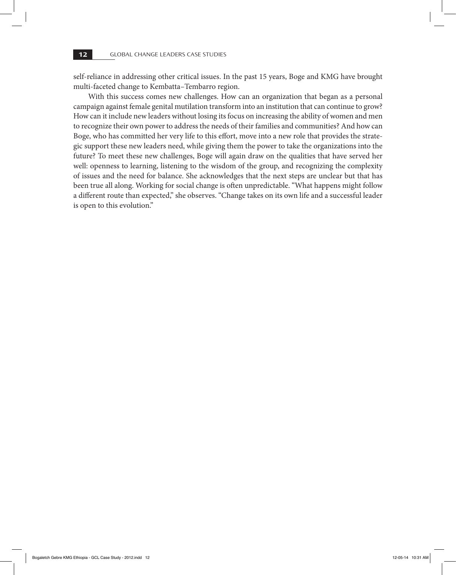self-reliance in addressing other critical issues. In the past 15 years, Boge and KMG have brought multi-faceted change to Kembatta–Tembarro region.

With this success comes new challenges. How can an organization that began as a personal campaign against female genital mutilation transform into an institution that can continue to grow? How can it include new leaders without losing its focus on increasing the ability of women and men to recognize their own power to address the needs of their families and communities? And how can Boge, who has committed her very life to this effort, move into a new role that provides the strategic support these new leaders need, while giving them the power to take the organizations into the future? To meet these new challenges, Boge will again draw on the qualities that have served her well: openness to learning, listening to the wisdom of the group, and recognizing the complexity of issues and the need for balance. She acknowledges that the next steps are unclear but that has been true all along. Working for social change is often unpredictable. "What happens might follow a different route than expected," she observes. "Change takes on its own life and a successful leader is open to this evolution."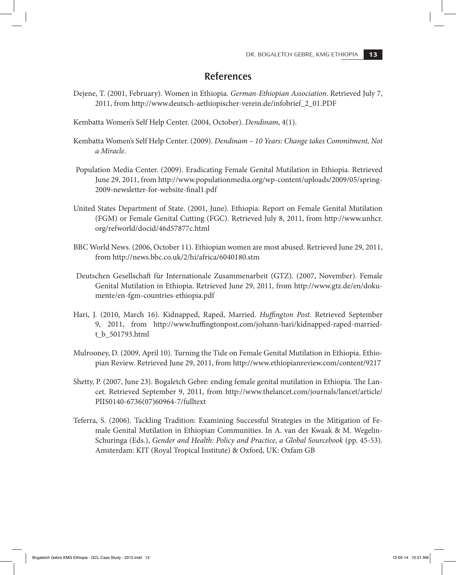#### **References**

- Dejene, T. (2001, February). Women in Ethiopia. *German-Ethiopian Association*. Retrieved July 7, 2011, from http://www.deutsch-aethiopischer-verein.de/infobrief\_2\_01.PDF
- Kembatta Women's Self Help Center. (2004, October). *Dendinam*, 4(1).
- Kembatta Women's Self Help Center. (2009). *Dendinam 10 Years: Change takes Commitment, Not a Miracle*.
- Population Media Center. (2009). Eradicating Female Genital Mutilation in Ethiopia. Retrieved June 29, 2011, from http://www.populationmedia.org/wp-content/uploads/2009/05/spring-2009-newsletter-for-website-final1.pdf
- United States Department of State. (2001, June). Ethiopia: Report on Female Genital Mutilation (FGM) or Female Genital Cutting (FGC). Retrieved July 8, 2011, from http://www.unhcr. org/refworld/docid/46d57877c.html
- BBC World News. (2006, October 11). Ethiopian women are most abused. Retrieved June 29, 2011, from http://news.bbc.co.uk/2/hi/africa/6040180.stm
- Deutschen Gesellschaft für Internationale Zusammenarbeit (GTZ). (2007, November). Female Genital Mutilation in Ethiopia. Retrieved June 29, 2011, from http://www.gtz.de/en/dokumente/en-fgm-countries-ethiopia.pdf
- Hari, J. (2010, March 16). Kidnapped, Raped, Married. *Huffington Post*. Retrieved September 9, 2011, from http://www.huffingtonpost.com/johann-hari/kidnapped-raped-marriedt\_b\_501793.html
- Mulrooney, D. (2009, April 10). Turning the Tide on Female Genital Mutilation in Ethiopia. Ethiopian Review. Retrieved June 29, 2011, from http://www.ethiopianreview.com/content/9217
- Shetty, P. (2007, June 23). Bogaletch Gebre: ending female genital mutilation in Ethiopia. The Lancet. Retrieved September 9, 2011, from http://www.thelancet.com/journals/lancet/article/ PIIS0140-6736(07)60964-7/fulltext
- Teferra, S. (2006). Tackling Tradition: Examining Successful Strategies in the Mitigation of Female Genital Mutilation in Ethiopian Communities. In A. van der Kwaak & M. Wegelin-Schuringa (Eds.), *Gender and Health: Policy and Practice, a Global Sourcebook* (pp. 45-53). Amsterdam: KIT (Royal Tropical Institute) & Oxford, UK: Oxfam GB